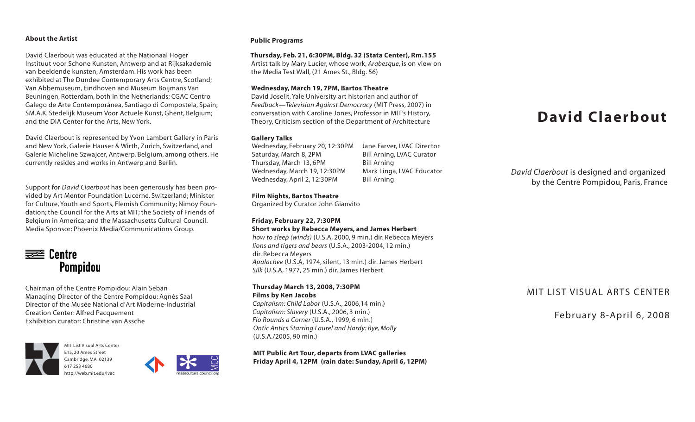# **About the Artist**

David Claerbout was educated at the Nationaal Hoger Instituut voor Schone Kunsten, Antwerp and at Rijksakademie van beeldende kunsten, Amsterdam. His work has been exhibited at The Dundee Contemporary Arts Centre, Scotland; Van Abbemuseum, Eindhoven and Museum Boijmans Van Beuningen, Rotterdam, both in the Netherlands; CGAC Centro Galego de Arte Contemporánea, Santiago di Compostela, Spain; SM.A.K. Stedelijk Museum Voor Actuele Kunst, Ghent, Belgium; and the DIA Center for the Arts, New York.

David Claerbout is represented by Yvon Lambert Gallery in Paris and New York, Galerie Hauser & Wirth, Zurich, Switzerland, and Galerie Micheline Szwajcer, Antwerp, Belgium, among others. He currently resides and works in Antwerp and Berlin.

Support for *David Claerbout* has been generously has been provided by Art Mentor Foundation Lucerne, Switzerland; Minister for Culture, Youth and Sports, Flemish Community; Nimoy Foundation; the Council for the Arts at MIT; the Society of Friends of Belgium in America; and the Massachusetts Cultural Council. Media Sponsor: Phoenix Media/Communications Group.



Chairman of the Centre Pompidou: Alain Seban Managing Director of the Centre Pompidou: Agnès Saal Director of the Musée National d'Art Moderne-Industrial Creation Center: Alfred Pacquement Exhibition curator: Christine van Assche



MIT List Visual Arts Center E15, 20 Ames Street Cambridge, MA 02139 617 253 [4680](tel:6172534680) <http://web.mit.edu/lvac>



# **Public Programs**

### **Thursday, Feb. 21, 6:30PM, Bldg. 32 (Stata Center), Rm.155**

Artist talk by Mary Lucier, whose work, *Arabesque*, is on view on the Media Test Wall, (21 Ames St., Bldg. 56)

### **Wednesday, March 19, 7PM, Bartos Theatre**

David Joselit, Yale University art historian and author of *Feedback—Television Against Democracy* (MIT Press, 2007) in conversation with Caroline Jones, Professor in MIT's History, Theory, Criticism section of the Department of Architecture

# **Gallery Talks**

Wednesday, February 20, 12:30PM Jane Farver, LVAC Director Saturday, March 8, 2PM Bill Arning, LVAC Curator Thursday, March 13, 6PM Bill Arning Wednesday, March 19, 12:30PM Mark Linga, LVAC Educator Wednesday, April 2, 12:30PM Bill Arning

## **Film Nights, Bartos Theatre**

Organized by Curator John Gianvito

**Friday, February 22, 7:30PM Short works by Rebecca Meyers, and James Herbert**

*how to sleep (winds)* (U.S.A, 2000, 9 min.) dir. Rebecca Meyers *lions and tigers and bears* (U.S.A., 2003-2004, 12 min.) dir. Rebecca Meyers Apalachee (U.S.A, 1974, silent, 13 min.) dir. James Herbert *Silk* (U.S.A, 1977, 25 min.) dir. James Herbert

### **Thursday March 13, 2008, 7:30PM Films by Ken Jacobs**

*Capitalism: Child Labor* (U.S.A., 2006,14 min.) *Capitalism: Slavery* (U.S.A., 2006, 3 min.) *Flo Rounds a Corner* (U.S.A., 1999, 6 min.) *Ontic Antics Starring Laurel and Hardy: Bye, Molly* (U.S.A./2005, 90 min.)

**MIT Public Art Tour, departs from LVAC galleries Friday April 4, 12PM (rain date: Sunday, April 6, 12PM)**

# **David Claerbout**

*David Claerbout* is designed and organized by the Centre Pompidou, Paris, France

# MIT LIST VISUAL ARTS CENTER

February 8-April 6, 2008